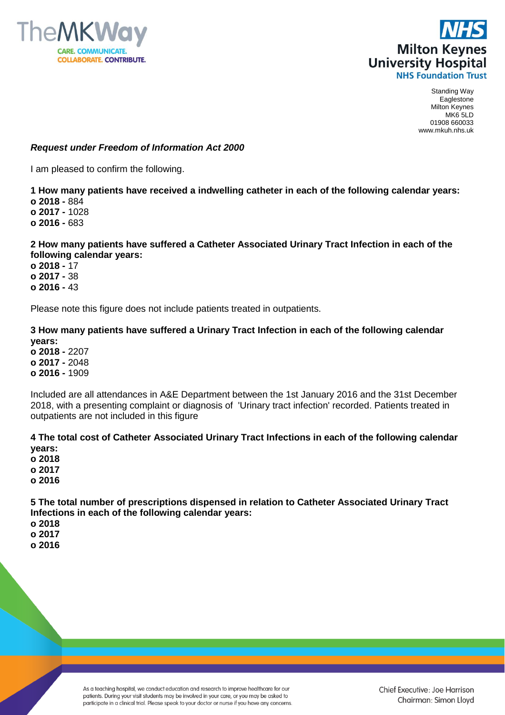



Standing Way Eaglestone Milton Keynes MK6 5LD 01908 660033 www.mkuh.nhs.uk

## *Request under Freedom of Information Act 2000*

I am pleased to confirm the following.

## **1 How many patients have received a indwelling catheter in each of the following calendar years: o 2018 -** 884 **o 2017 -** 1028 **o 2016 -** 683

## **2 How many patients have suffered a Catheter Associated Urinary Tract Infection in each of the following calendar years:**

**o 2018 -** 17 **o 2017 -** 38 **o 2016 -** 43

Please note this figure does not include patients treated in outpatients.

## **3 How many patients have suffered a Urinary Tract Infection in each of the following calendar years: o 2018 -** 2207 **o 2017 -** 2048 **o 2016 -** 1909

Included are all attendances in A&E Department between the 1st January 2016 and the 31st December 2018, with a presenting complaint or diagnosis of 'Urinary tract infection' recorded. Patients treated in outpatients are not included in this figure

**4 The total cost of Catheter Associated Urinary Tract Infections in each of the following calendar years:**

**o 2018 o 2017**

**o 2016**

**5 The total number of prescriptions dispensed in relation to Catheter Associated Urinary Tract Infections in each of the following calendar years:**

**o 2018 o 2017 o 2016**

> As a teaching hospital, we conduct education and research to improve healthcare for our patients. During your visit students may be involved in your care, or you may be asked to participate in a clinical trial. Please speak to your doctor or nurse if you have any concerns.

Chief Executive: Joe Harrison Chairman: Simon Lloyd